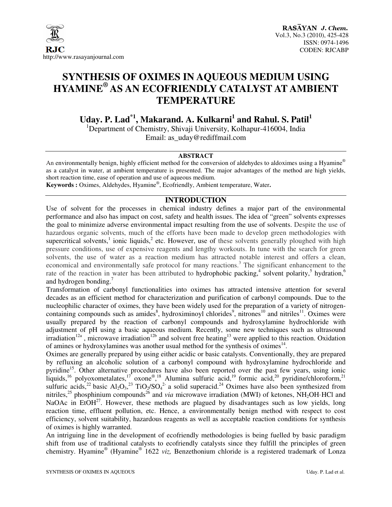

# **SYNTHESIS OF OXIMES IN AQUEOUS MEDIUM USING HYAMINE® AS AN ECOFRIENDLY CATALYST AT AMBIENT TEMPERATURE**

**Uday. P. Lad\*1, Makarand. A. Kulkarni<sup>1</sup> and Rahul. S. Patil<sup>1</sup>**

<sup>1</sup>Department of Chemistry, Shivaji University, Kolhapur-416004, India Email: as\_uday@rediffmail.com

#### **ABSTRACT**

An environmentally benign, highly efficient method for the conversion of aldehydes to aldoximes using a Hyamine<sup>®</sup> as a catalyst in water, at ambient temperature is presented. The major advantages of the method are high yields, short reaction time, ease of operation and use of aqueous medium.

**Keywords :** Oximes, Aldehydes, Hyamine® , Ecofriendly, Ambient temperature, Water**.** 

# **INTRODUCTION**

Use of solvent for the processes in chemical industry defines a major part of the environmental performance and also has impact on cost, safety and health issues. The idea of "green" solvents expresses the goal to minimize adverse environmental impact resulting from the use of solvents. Despite the use of hazardous organic solvents, much of the efforts have been made to develop green methodologies with supercritical solvents,<sup>1</sup> ionic liquids,<sup>2</sup> etc. However, use of these solvents generally ploughed with high pressure conditions, use of expensive reagents and lengthy workouts. In tune with the search for green solvents, the use of water as a reaction medium has attracted notable interest and offers a clean, economical and environmentally safe protocol for many reactions.<sup>3</sup> The significant enhancement to the rate of the reaction in water has been attributed to hydrophobic packing,<sup>4</sup> solvent polarity,<sup>5</sup> hydration,<sup>6</sup> and hydrogen bonding.<sup>7</sup>

Transformation of carbonyl functionalities into oximes has attracted intensive attention for several decades as an efficient method for characterization and purification of carbonyl compounds. Due to the nucleophilic character of oximes, they have been widely used for the preparation of a variety of nitrogencontaining compounds such as amides<sup>8</sup>, hydroximinoyl chlorides<sup>9</sup>, nitrones<sup>10</sup> and nitriles<sup>11</sup>. Oximes were usually prepared by the reaction of carbonyl compounds and hydroxylamine hydrochloride with adjustment of pH using a basic aqueous medium. Recently, some new techniques such as ultrasound irradiation<sup>12a</sup>, microwave irradiation<sup>12b</sup> and solvent free heating<sup>13</sup> were applied to this reaction. Oxidation of amines or hydroxylamines was another usual method for the synthesis of oximes $<sup>14</sup>$ .</sup>

Oximes are generally prepared by using either acidic or basic catalysts. Conventionally, they are prepared by refluxing an alcoholic solution of a carbonyl compound with hydroxylamine hydrochloride and pyridine<sup>15</sup>. Other alternative procedures have also been reported over the past few years, using ionic liquids,<sup>16</sup> polyoxometalates,<sup>17</sup> oxone®,<sup>18</sup> Alumina sulfuric acid,<sup>19</sup> formic acid,<sup>20</sup> pyridine/chloroform,<sup>21</sup> sulfuric acids,<sup>22</sup> basic  $Al_2O_3$ ,<sup>23</sup> TiO<sub>2</sub>/SO<sub>4</sub><sup>2</sup> a solid superacid.<sup>24</sup> Oximes have also been synthesized from nitriles,<sup>25</sup> phosphinium compounds<sup>26</sup> and *via* microwave irradiation (MWI) of ketones, NH<sub>2</sub>OH·HCl and NaOAc in EtO $H^{27}$ . However, these methods are plagued by disadvantages such as low yields, long reaction time, effluent pollution, etc. Hence, a environmentally benign method with respect to cost efficiency, solvent suitability, hazardous reagents as well as acceptable reaction conditions for synthesis of oximes is highly warranted.

An intriguing line in the development of ecofriendly methodologies is being fuelled by basic paradigm shift from use of traditional catalysts to ecofriendly catalysts since they fulfill the principles of green chemistry. Hyamine® (Hyamine® 1622 *viz,* Benzethonium chloride is a registered trademark of Lonza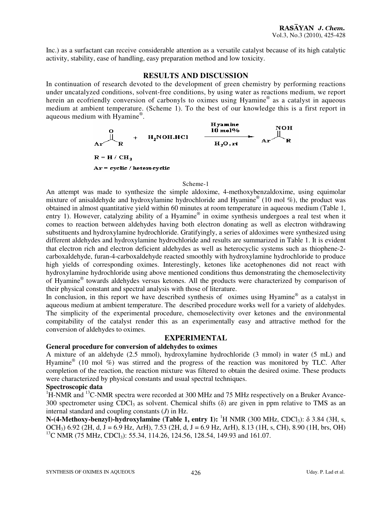Inc.) as a surfactant can receive considerable attention as a versatile catalyst because of its high catalytic activity, stability, ease of handling, easy preparation method and low toxicity.

## **RESULTS AND DISCUSSION**

In continuation of research devoted to the development of green chemistry by performing reactions under uncatalyzed conditions, solvent-free conditions, by using water as reactions medium, we report herein an ecofriendly conversion of carbonyls to oximes using Hyamine® as a catalyst in aqueous medium at ambient temperature. (Scheme 1). To the best of our knowledge this is a first report in aqueous medium with Hyamine®.



#### Scheme-1

An attempt was made to synthesize the simple aldoxime, 4-methoxybenzaldoxime, using equimolar mixture of anisaldehyde and hydroxylamine hydrochloride and Hyamine® (10 mol %), the product was obtained in almost quantitative yield within 60 minutes at room temperature in aqueous medium (Table 1, entry 1). However, catalyzing ability of a Hyamine® in oxime synthesis undergoes a real test when it comes to reaction between aldehydes having both electron donating as well as electron withdrawing substituents and hydroxylamine hydrochloride. Gratifyingly, a series of aldoximes were synthesized using different aldehydes and hydroxylamine hydrochloride and results are summarized in Table 1. It is evident that electron rich and electron deficient aldehydes as well as heterocyclic systems such as thiophene-2 carboxaldehyde, furan-4-carboxaldehyde reacted smoothly with hydroxylamine hydrochloride to produce high yields of corresponding oximes. Interestingly, ketones like acetophenones did not react with hydroxylamine hydrochloride using above mentioned conditions thus demonstrating the chemoselectivity of Hyamine® towards aldehydes versus ketones. All the products were characterized by comparison of their physical constant and spectral analysis with those of literature.

In conclusion, in this report we have described synthesis of oximes using Hyamine® as a catalyst in aqueous medium at ambient temperature. The described procedure works well for a variety of aldehydes. The simplicity of the experimental procedure, chemoselectivity over ketones and the environmental compitability of the catalyst render this as an experimentally easy and attractive method for the conversion of aldehydes to oximes.

### **EXPERIMENTAL**

# **General procedure for conversion of aldehydes to oximes**

A mixture of an aldehyde (2.5 mmol), hydroxylamine hydrochloride (3 mmol) in water (5 mL) and Hyamine<sup>®</sup> (10 mol %) was stirred and the progress of the reaction was monitored by TLC. After completion of the reaction, the reaction mixture was filtered to obtain the desired oxime. These products were characterized by physical constants and usual spectral techniques.

# **Spectroscopic data**

 ${}^{1}$ H-NMR and  ${}^{13}$ C-NMR spectra were recorded at 300 MHz and 75 MHz respectively on a Bruker Avance-300 spectrometer using CDCl<sub>3</sub> as solvent. Chemical shifts  $(\delta)$  are given in ppm relative to TMS as an internal standard and coupling constants (*J*) in Hz.

**N-(4-Methoxy-benzyl)-hydroxylamine (Table 1, entry 1):** <sup>1</sup>H NMR (300 MHz, CDCl<sub>3</sub>): δ 3.84 (3H, s, OCH<sub>3</sub>) 6.92 (2H, d, J = 6.9 Hz, ArH), 7.53 (2H, d, J = 6.9 Hz, ArH), 8.13 (1H, s, CH), 8.90 (1H, brs, OH) <sup>13</sup>C NMR (75 MHz, CDCl<sub>3</sub>): 55.34, 114.26, 124.56, 128.54, 149.93 and 161.07.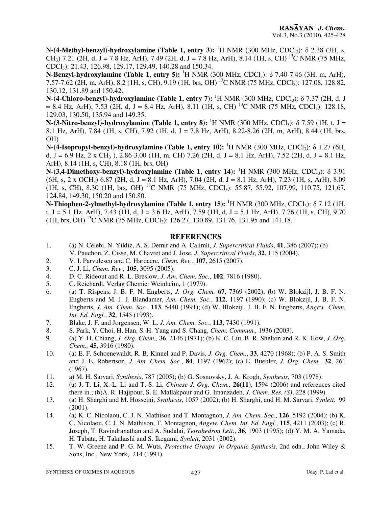**N-(4-Methyl-benzyl)-hydroxylamine (Table 1, entry 3):** <sup>1</sup>H NMR (300 MHz, CDCl<sub>3</sub>): δ 2.38 (3H, s, CH<sub>3</sub>) 7.21 (2H, d, J = 7.8 Hz, ArH), 7.49 (2H, d, J = 7.8 Hz, ArH), 8.14 (1H, s, CH) <sup>13</sup>C NMR (75 MHz, CDCl3): 21.43, 126.98, 129.17, 129.49, 140.28 and 150.34.

**N-Benzyl-hydroxylamine** (Table 1, entry 5): <sup>1</sup>H NMR (300 MHz, CDCl<sub>3</sub>): δ 7.40-7.46 (3H, m, ArH), 7.57-7.62 (2H, m, ArH), 8.2 (1H, s, CH), 9.19 (1H, brs, OH) <sup>13</sup>C NMR (75 MHz, CDCl<sub>3</sub>): 127.08, 128.82, 130.12, 131.89 and 150.42.

**N-(4-Chloro-benzyl)-hydroxylamine (Table 1, entry 7):** <sup>1</sup>H NMR (300 MHz, CDCl<sub>3</sub>): δ 7.37 (2H, d, J  $= 8.4$  Hz, ArH), 7.53 (2H, d, J = 8.4 Hz, ArH), 8.11 (1H, s, CH) <sup>13</sup>C NMR (75 MHz, CDCl<sub>3</sub>): 128.18, 129.03, 130.50, 135.94 and 149.35.

**N-(3-Nitro-benzyl)-hydroxylamine (Table 1, entry 8):** <sup>1</sup>H NMR (300 MHz, CDCl<sub>3</sub>): δ 7.59 (1H, t, J = 8.1 Hz, ArH), 7.84 (1H, s, CH), 7.92 (1H, d, J = 7.8 Hz, ArH), 8.22-8.26 (2H, m, ArH), 8.44 (1H, brs, OH)

**N-(4-Isopropyl-benzyl)-hydroxylamine (Table 1, entry 10):** <sup>1</sup>H NMR (300 MHz, CDCl<sub>3</sub>): δ 1.27 (6H, d, J = 6.9 Hz, 2 x CH<sub>3</sub>), 2.86-3.00 (1H, m, CH) 7.26 (2H, d, J = 8.1 Hz, ArH), 7.52 (2H, d, J = 8.1 Hz, ArH), 8.14 (1H, s, CH), 8.18 (1H, brs, OH)

**N-(3,4-Dimethoxy-benzyl)-hydroxylamine (Table 1, entry 14):** <sup>1</sup>H NMR (300 MHz, CDCl<sub>3</sub>): δ 3.91  $(6H, s, 2 \times OCH_3)$  6.87 (2H, d, J = 8.1 Hz, ArH), 7.04 (2H, d, J = 8.1 Hz, ArH), 7.23 (1H, s, ArH), 8.09 (1H, s, CH), 8.30 (1H, brs, OH) <sup>13</sup>C NMR (75 MHz, CDCl3): 55.87, 55.92, 107.99, 110.75, 121.67, 124.84, 149.30, 150.20 and 150.80.

**N-Thiophen-2-ylmethyl-hydroxylamine (Table 1, entry 15):** <sup>1</sup>H NMR (300 MHz, CDCl<sub>3</sub>): δ 7.12 (1H, t, J = 5.1 Hz, ArH), 7.43 (1H, d, J = 3.6 Hz, ArH), 7.59 (1H, d, J = 5.1 Hz, ArH), 7.76 (1H, s, CH), 9.70  $(1H, brs, OH)$  <sup>13</sup>C NMR (75 MHz, CDCl<sub>3</sub>): 126.27, 130.89, 131.76, 131.95 and 141.18.

# **REFERENCES**

- 1. (a) N. Celebi, N. Yildiz, A. S. Demir and A. Calimli, *J. Supercritical Fluids*, **41**, 386 (2007); (b) V. Pauchon, Z. Cisse, M. Chavret and J. Jose, *J. Supercritical Fluids*, **32**, 115 (2004).
- 2. V. I. Parvulescu and C. Hardacre, *Chem. Rev.*, **107**, 2615 (2007).
- 3. C. J. Li, *Chem. Rev.,* **105**, 3095 (2005).
- 4. D. C. Rideout and R. L. Breslow, *J. Am. Chem. Soc.*, **102**, 7816 (1980).
- 5. C. Reichardt, Verlag Chemie: Weinheim, 1 (1979).
- 6. (a) T. Rispens, J. B. F. N. Engberts, *J. Org. Chem.* **67**, 7369 (2002); (b) W. Blokzijl, J. B. F. N. Engberts and M. J. J. Blandamer, *Am. Chem. Soc.*, **112**, 1197 (1990); (c) W. Blokzijl, J. B. F. N. Engberts, *J. Am. Chem. Soc.*, **113**, 5440 (1991); (d) W. Blokzijl, J. B. F. N. Engberts, *Angew. Chem. Int. Ed. Engl.*, **32**, 1545 (1993).
- 7. Blake, J. F. and Jorgensen, W. L. *J. Am. Chem. Soc.*, **113**, 7430 (1991).
- 8. S. Park, Y. Choi, H. Han, S. H. Yang and S. Chang, *Chem. Commun.,* 1936 (2003).
- 9. (a) Y. H. Chiang, *J. Org. Chem.,* **36**, 2146 (1971); (b) K. C. Liu, B. R. Shelton and R. K. How, *J. Org. Chem.,* **45**, 3916 (1980).
- 10. (a) E. F. Schoenewaldt, R. B. Kinnel and P. Davis, *J. Org. Chem.*, **33**, 4270 (1968); (b) P. A. S. Smith and J. E. Robertson, *J. Am. Chem. Soc.*, **84**, 1197 (1962); (c) E. Buehler, *J. Org. Chem.*, **32**, 261 (1967).
- 11. a) M. H. Sarvari, *Synthesis*, 787 (2005); (b) G. Sosnovsky, J. A. Krogh, *Synthesis*, 703 (1978).
- 12. (a) J.-T. Li, X.-L. Li and T.-S. Li, *Chinese J. Org. Chem.,* **26(11)**, 1594 (2006) and references cited there in.; (b)A. R. Hajipour, S. E. Mallakpour and G. Imanzadeh, *J. Chem. Res. (S)*, 228 (1999).
- 13. (a) H. Sharghi and M. Hosseini, *Synthesis*, 1057 (2002); (b) H. Sharghi, and H. M. Sarvari, *Synlett,* 99 (2001).
- 14. (a) K. C. Nicolaou, C. J. N. Mathison and T. Montagnon, *J. Am. Chem. Soc.*, **126**, 5192 (2004); (b) K. C. Nicolaou, C. J. N. Mathison, T. Montagnon, *Angew. Chem. Int. Ed. Engl.*, **115**, 4211 (2003); (c) R. Joseph, T. Ravindranathan and A. Sudalai, *Tetrahedron Lett.*, **36**, 1903 (1995); (d) Y. M. A. Yamada, H. Tabata, H. Takahashi and S. Ikegami, *Synlett*, 2031 (2002).
- 15. T. W. Greene and P. G. M. Wuts, *Protective Groups in Organic Synthesis*, 2nd edn., John Wiley & Sons, Inc., New York, 214 (1991).